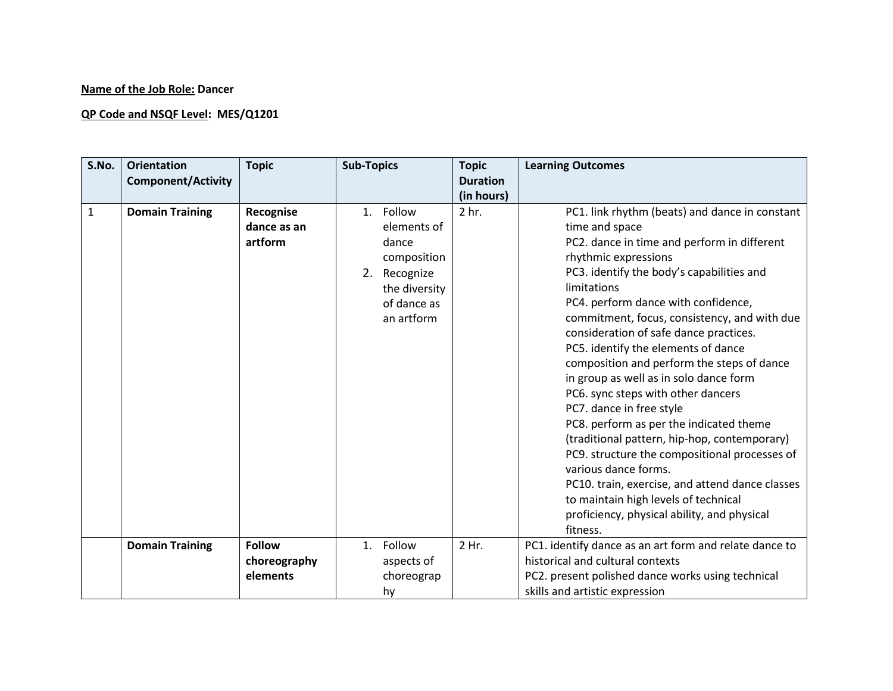## **Name of the Job Role: Dancer**

## **QP Code and NSQF Level: MES/Q1201**

| S.No.        | <b>Orientation</b><br><b>Component/Activity</b> | <b>Topic</b>                        | <b>Sub-Topics</b>                                                                                              | <b>Topic</b><br><b>Duration</b> | <b>Learning Outcomes</b>                                                                                                                                                                                                                                                                                                                                                                                                                                                                                                                                                                                                                                                                                                                                                                                                                            |
|--------------|-------------------------------------------------|-------------------------------------|----------------------------------------------------------------------------------------------------------------|---------------------------------|-----------------------------------------------------------------------------------------------------------------------------------------------------------------------------------------------------------------------------------------------------------------------------------------------------------------------------------------------------------------------------------------------------------------------------------------------------------------------------------------------------------------------------------------------------------------------------------------------------------------------------------------------------------------------------------------------------------------------------------------------------------------------------------------------------------------------------------------------------|
|              |                                                 |                                     |                                                                                                                | (in hours)                      |                                                                                                                                                                                                                                                                                                                                                                                                                                                                                                                                                                                                                                                                                                                                                                                                                                                     |
| $\mathbf{1}$ | <b>Domain Training</b>                          | Recognise<br>dance as an<br>artform | 1. Follow<br>elements of<br>dance<br>composition<br>2. Recognize<br>the diversity<br>of dance as<br>an artform | 2 hr.                           | PC1. link rhythm (beats) and dance in constant<br>time and space<br>PC2. dance in time and perform in different<br>rhythmic expressions<br>PC3. identify the body's capabilities and<br>limitations<br>PC4. perform dance with confidence,<br>commitment, focus, consistency, and with due<br>consideration of safe dance practices.<br>PC5. identify the elements of dance<br>composition and perform the steps of dance<br>in group as well as in solo dance form<br>PC6. sync steps with other dancers<br>PC7. dance in free style<br>PC8. perform as per the indicated theme<br>(traditional pattern, hip-hop, contemporary)<br>PC9. structure the compositional processes of<br>various dance forms.<br>PC10. train, exercise, and attend dance classes<br>to maintain high levels of technical<br>proficiency, physical ability, and physical |
|              | <b>Domain Training</b>                          | <b>Follow</b>                       | Follow<br>1.                                                                                                   | 2 Hr.                           | fitness.<br>PC1. identify dance as an art form and relate dance to                                                                                                                                                                                                                                                                                                                                                                                                                                                                                                                                                                                                                                                                                                                                                                                  |
|              |                                                 | choreography                        | aspects of                                                                                                     |                                 | historical and cultural contexts                                                                                                                                                                                                                                                                                                                                                                                                                                                                                                                                                                                                                                                                                                                                                                                                                    |
|              |                                                 | elements                            | choreograp                                                                                                     |                                 | PC2. present polished dance works using technical                                                                                                                                                                                                                                                                                                                                                                                                                                                                                                                                                                                                                                                                                                                                                                                                   |
|              |                                                 |                                     | hy                                                                                                             |                                 | skills and artistic expression                                                                                                                                                                                                                                                                                                                                                                                                                                                                                                                                                                                                                                                                                                                                                                                                                      |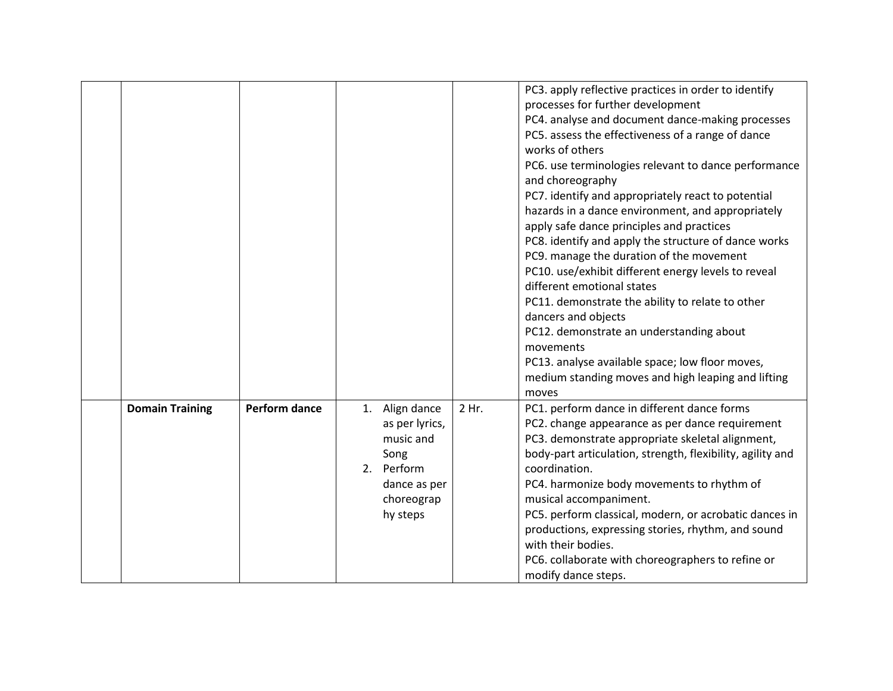|                        |                      |                                                                                                               |       | PC3. apply reflective practices in order to identify<br>processes for further development<br>PC4. analyse and document dance-making processes<br>PC5. assess the effectiveness of a range of dance<br>works of others<br>PC6. use terminologies relevant to dance performance<br>and choreography<br>PC7. identify and appropriately react to potential<br>hazards in a dance environment, and appropriately<br>apply safe dance principles and practices<br>PC8. identify and apply the structure of dance works<br>PC9. manage the duration of the movement<br>PC10. use/exhibit different energy levels to reveal<br>different emotional states<br>PC11. demonstrate the ability to relate to other<br>dancers and objects<br>PC12. demonstrate an understanding about<br>movements<br>PC13. analyse available space; low floor moves,<br>medium standing moves and high leaping and lifting<br>moves |
|------------------------|----------------------|---------------------------------------------------------------------------------------------------------------|-------|----------------------------------------------------------------------------------------------------------------------------------------------------------------------------------------------------------------------------------------------------------------------------------------------------------------------------------------------------------------------------------------------------------------------------------------------------------------------------------------------------------------------------------------------------------------------------------------------------------------------------------------------------------------------------------------------------------------------------------------------------------------------------------------------------------------------------------------------------------------------------------------------------------|
| <b>Domain Training</b> | <b>Perform dance</b> | 1. Align dance<br>as per lyrics,<br>music and<br>Song<br>2. Perform<br>dance as per<br>choreograp<br>hy steps | 2 Hr. | PC1. perform dance in different dance forms<br>PC2. change appearance as per dance requirement<br>PC3. demonstrate appropriate skeletal alignment,<br>body-part articulation, strength, flexibility, agility and<br>coordination.<br>PC4. harmonize body movements to rhythm of<br>musical accompaniment.<br>PC5. perform classical, modern, or acrobatic dances in<br>productions, expressing stories, rhythm, and sound<br>with their bodies.<br>PC6. collaborate with choreographers to refine or<br>modify dance steps.                                                                                                                                                                                                                                                                                                                                                                              |